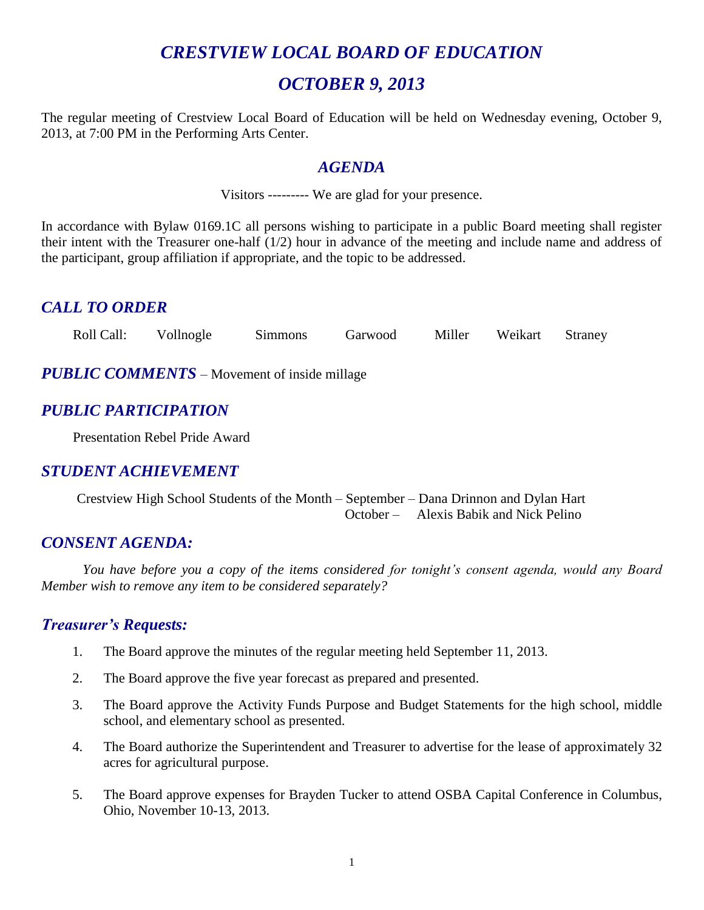# *CRESTVIEW LOCAL BOARD OF EDUCATION*

# *OCTOBER 9, 2013*

The regular meeting of Crestview Local Board of Education will be held on Wednesday evening, October 9, 2013, at 7:00 PM in the Performing Arts Center.

#### *AGENDA*

Visitors --------- We are glad for your presence.

In accordance with Bylaw 0169.1C all persons wishing to participate in a public Board meeting shall register their intent with the Treasurer one-half (1/2) hour in advance of the meeting and include name and address of the participant, group affiliation if appropriate, and the topic to be addressed.

# *CALL TO ORDER*

Roll Call: Vollnogle Simmons Garwood Miller Weikart Straney

*PUBLIC COMMENTS* – Movement of inside millage

### *PUBLIC PARTICIPATION*

Presentation Rebel Pride Award

### *STUDENT ACHIEVEMENT*

Crestview High School Students of the Month – September – Dana Drinnon and Dylan Hart October – Alexis Babik and Nick Pelino

#### *CONSENT AGENDA:*

*You have before you a copy of the items considered for tonight's consent agenda, would any Board Member wish to remove any item to be considered separately?*

#### *Treasurer's Requests:*

- 1. The Board approve the minutes of the regular meeting held September 11, 2013.
- 2. The Board approve the five year forecast as prepared and presented.
- 3. The Board approve the Activity Funds Purpose and Budget Statements for the high school, middle school, and elementary school as presented.
- 4. The Board authorize the Superintendent and Treasurer to advertise for the lease of approximately 32 acres for agricultural purpose.
- 5. The Board approve expenses for Brayden Tucker to attend OSBA Capital Conference in Columbus, Ohio, November 10-13, 2013.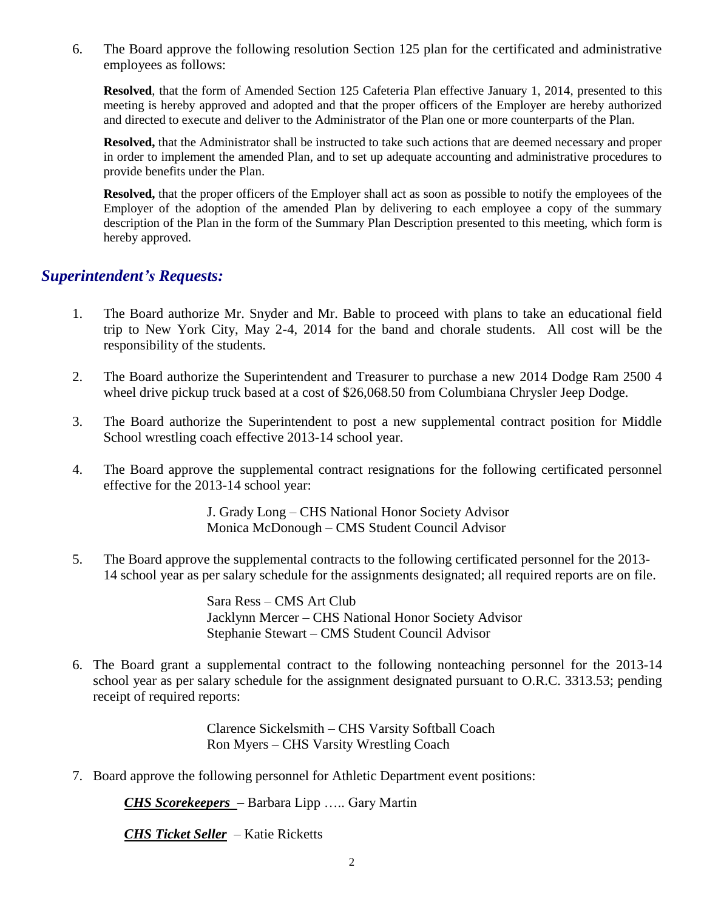6. The Board approve the following resolution Section 125 plan for the certificated and administrative employees as follows:

**Resolved**, that the form of Amended Section 125 Cafeteria Plan effective January 1, 2014, presented to this meeting is hereby approved and adopted and that the proper officers of the Employer are hereby authorized and directed to execute and deliver to the Administrator of the Plan one or more counterparts of the Plan.

**Resolved,** that the Administrator shall be instructed to take such actions that are deemed necessary and proper in order to implement the amended Plan, and to set up adequate accounting and administrative procedures to provide benefits under the Plan.

**Resolved,** that the proper officers of the Employer shall act as soon as possible to notify the employees of the Employer of the adoption of the amended Plan by delivering to each employee a copy of the summary description of the Plan in the form of the Summary Plan Description presented to this meeting, which form is hereby approved.

#### *Superintendent's Requests:*

- 1. The Board authorize Mr. Snyder and Mr. Bable to proceed with plans to take an educational field trip to New York City, May 2-4, 2014 for the band and chorale students. All cost will be the responsibility of the students.
- 2. The Board authorize the Superintendent and Treasurer to purchase a new 2014 Dodge Ram 2500 4 wheel drive pickup truck based at a cost of \$26,068.50 from Columbiana Chrysler Jeep Dodge.
- 3. The Board authorize the Superintendent to post a new supplemental contract position for Middle School wrestling coach effective 2013-14 school year.
- 4. The Board approve the supplemental contract resignations for the following certificated personnel effective for the 2013-14 school year:

J. Grady Long – CHS National Honor Society Advisor Monica McDonough – CMS Student Council Advisor

5. The Board approve the supplemental contracts to the following certificated personnel for the 2013- 14 school year as per salary schedule for the assignments designated; all required reports are on file.

> Sara Ress – CMS Art Club Jacklynn Mercer – CHS National Honor Society Advisor Stephanie Stewart – CMS Student Council Advisor

6. The Board grant a supplemental contract to the following nonteaching personnel for the 2013-14 school year as per salary schedule for the assignment designated pursuant to O.R.C. 3313.53; pending receipt of required reports:

> Clarence Sickelsmith – CHS Varsity Softball Coach Ron Myers – CHS Varsity Wrestling Coach

7. Board approve the following personnel for Athletic Department event positions:

*CHS Scorekeepers* – Barbara Lipp ….. Gary Martin

*CHS Ticket Seller* – Katie Ricketts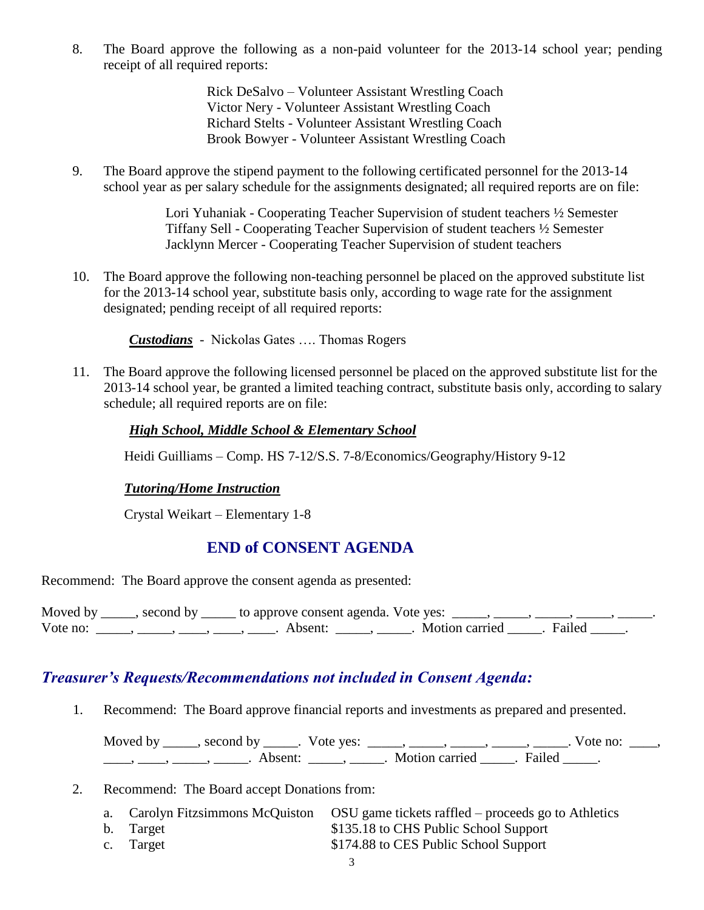8. The Board approve the following as a non-paid volunteer for the 2013-14 school year; pending receipt of all required reports:

> Rick DeSalvo – Volunteer Assistant Wrestling Coach Victor Nery - Volunteer Assistant Wrestling Coach Richard Stelts - Volunteer Assistant Wrestling Coach Brook Bowyer - Volunteer Assistant Wrestling Coach

9. The Board approve the stipend payment to the following certificated personnel for the 2013-14 school year as per salary schedule for the assignments designated; all required reports are on file:

> Lori Yuhaniak - Cooperating Teacher Supervision of student teachers ½ Semester Tiffany Sell - Cooperating Teacher Supervision of student teachers ½ Semester Jacklynn Mercer - Cooperating Teacher Supervision of student teachers

10. The Board approve the following non-teaching personnel be placed on the approved substitute list for the 2013-14 school year, substitute basis only, according to wage rate for the assignment designated; pending receipt of all required reports:

*Custodians* - Nickolas Gates …. Thomas Rogers

11. The Board approve the following licensed personnel be placed on the approved substitute list for the 2013-14 school year, be granted a limited teaching contract, substitute basis only, according to salary schedule; all required reports are on file:

#### *High School, Middle School & Elementary School*

Heidi Guilliams – Comp. HS 7-12/S.S. 7-8/Economics/Geography/History 9-12

#### *Tutoring/Home Instruction*

Crystal Weikart – Elementary 1-8

#### **END of CONSENT AGENDA**

Recommend: The Board approve the consent agenda as presented:

|          | Moved by _____, second by _____ to approve consent agenda. Vote yes: $\_\_\_\_\_\_\_\_\_\_\_\_\_\_\_\_$ |                           |  |
|----------|---------------------------------------------------------------------------------------------------------|---------------------------|--|
| Vote no: | Absent:                                                                                                 | . Motion carried . Failed |  |

#### *Treasurer's Requests/Recommendations not included in Consent Agenda:*

1. Recommend: The Board approve financial reports and investments as prepared and presented.

Moved by \_\_\_\_\_, second by \_\_\_\_\_. Vote yes:  $\_\_\_\_\_\_\_\_\_\_\_\_\_\_\_$  \_\_\_\_, \_\_\_\_, \_\_\_\_. Vote no:  $\_\_\_\_\_\$ \_\_\_\_, \_\_\_\_\_, \_\_\_\_\_\_, Absent: \_\_\_\_\_, \_\_\_\_\_. Motion carried \_\_\_\_\_. Failed \_\_\_\_\_.

- 2. Recommend: The Board accept Donations from:
	- a. Carolyn Fitzsimmons McQuiston OSU game tickets raffled proceeds go to Athletics b. Target  $$135.18$  to CHS Public School Support c. Target  $$174.88$  to CES Public School Support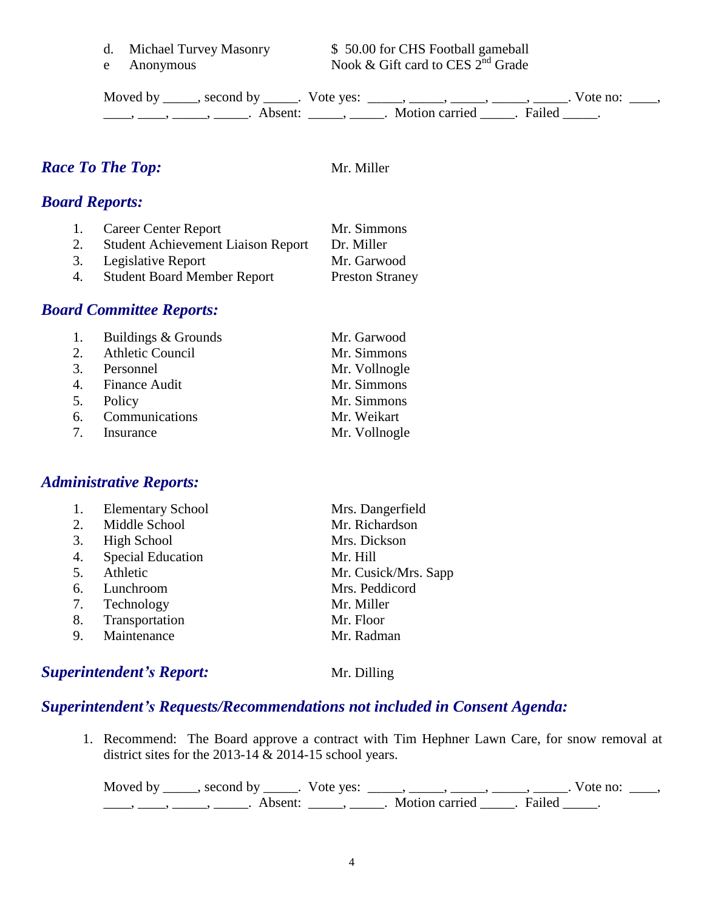- 
- 

d. Michael Turvey Masonry \$50.00 for CHS Football gameball e Anonymous Nook & Gift card to CES  $2^{nd}$  Grade

Moved by \_\_\_\_\_, second by \_\_\_\_\_. Vote yes:  $\_\_\_\_\_\_\_\_\_\_\_\_\_\_\_\_\_\_\_$  \_\_\_\_, \_\_\_\_, \_\_\_\_. Vote no:  $\_\_\_\_\_\$ \_\_\_\_\_, \_\_\_\_\_\_, \_\_\_\_\_\_\_. Absent: \_\_\_\_\_\_, \_\_\_\_\_\_. Motion carried \_\_\_\_\_\_. Failed \_\_\_\_\_.

# *Race To The Top:* Mr. Miller

## *Board Reports:*

|    | 1. Career Center Report                   | Mr. Simmons            |
|----|-------------------------------------------|------------------------|
| 2. | <b>Student Achievement Liaison Report</b> | Dr. Miller             |
|    | 3. Legislative Report                     | Mr. Garwood            |
| 4. | <b>Student Board Member Report</b>        | <b>Preston Straney</b> |

#### *Board Committee Reports:*

| 1. Buildings & Grounds | Mr. Garwood   |
|------------------------|---------------|
| 2. Athletic Council    | Mr. Simmons   |
| 3. Personnel           | Mr. Vollnogle |
| 4. Finance Audit       | Mr. Simmons   |
| 5. Policy              | Mr. Simmons   |
| 6. Communications      | Mr. Weikart   |
| 7. Insurance           | Mr. Vollnogle |

#### *Administrative Reports:*

| 1. | <b>Elementary School</b> | Mrs. Dangerfield     |
|----|--------------------------|----------------------|
| 2. | Middle School            | Mr. Richardson       |
| 3. | High School              | Mrs. Dickson         |
| 4. | <b>Special Education</b> | Mr. Hill             |
| 5. | Athletic                 | Mr. Cusick/Mrs. Sapp |
| 6. | Lunchroom                | Mrs. Peddicord       |
| 7. | Technology               | Mr. Miller           |
| 8. | Transportation           | Mr. Floor            |
| 9. | Maintenance              | Mr. Radman           |
|    |                          |                      |

#### **Superintendent's Report:** Mr. Dilling

#### *Superintendent's Requests/Recommendations not included in Consent Agenda:*

1. Recommend: The Board approve a contract with Tim Hephner Lawn Care, for snow removal at district sites for the 2013-14  $\&$  2014-15 school years.

Moved by \_\_\_\_\_, second by \_\_\_\_\_. Vote yes:  $\_\_\_\_\_\_\_\_\_\_\_\_\_\_\_\_\_$  \_\_\_\_, \_\_\_\_, \_\_\_\_. Vote no:  $\_\_\_\_\_\$ \_\_\_\_\_, \_\_\_\_\_\_, \_\_\_\_\_\_\_. Absent: \_\_\_\_\_\_, \_\_\_\_\_\_. Motion carried \_\_\_\_\_\_. Failed \_\_\_\_\_.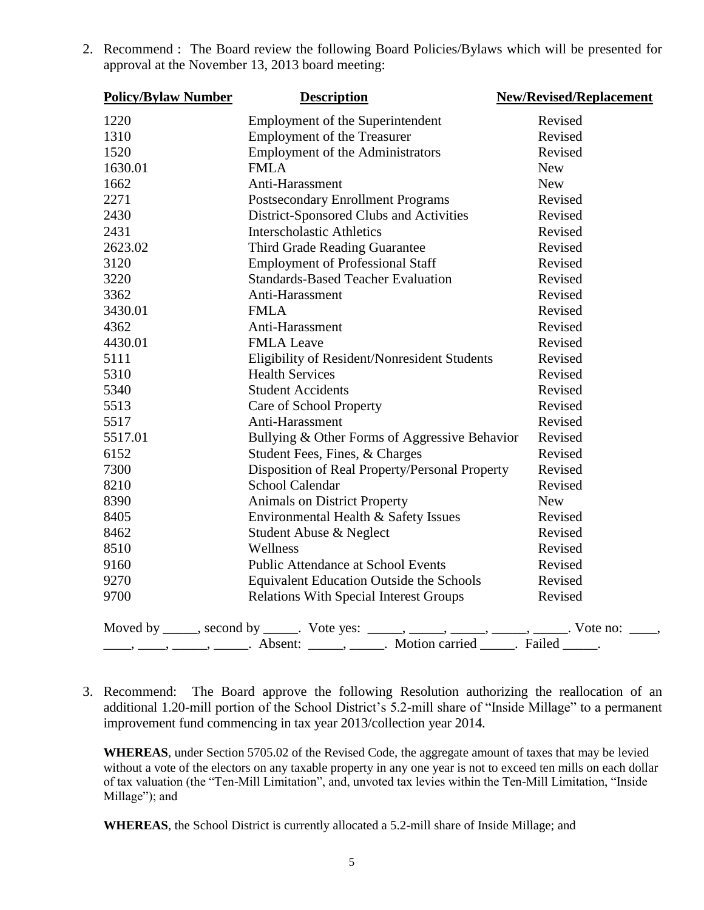| <b>Policy/Bylaw Number</b> | <b>Description</b>                                                                                                                                                                                                                                                                                                                                                                                                              | <b>New/Revised/Replacement</b> |
|----------------------------|---------------------------------------------------------------------------------------------------------------------------------------------------------------------------------------------------------------------------------------------------------------------------------------------------------------------------------------------------------------------------------------------------------------------------------|--------------------------------|
| 1220                       | Employment of the Superintendent                                                                                                                                                                                                                                                                                                                                                                                                | Revised                        |
| 1310                       | <b>Employment of the Treasurer</b>                                                                                                                                                                                                                                                                                                                                                                                              | Revised                        |
| 1520                       | <b>Employment of the Administrators</b>                                                                                                                                                                                                                                                                                                                                                                                         | Revised                        |
| 1630.01                    | <b>FMLA</b>                                                                                                                                                                                                                                                                                                                                                                                                                     | <b>New</b>                     |
| 1662                       | Anti-Harassment                                                                                                                                                                                                                                                                                                                                                                                                                 | <b>New</b>                     |
| 2271                       | <b>Postsecondary Enrollment Programs</b>                                                                                                                                                                                                                                                                                                                                                                                        | Revised                        |
| 2430                       | District-Sponsored Clubs and Activities                                                                                                                                                                                                                                                                                                                                                                                         | Revised                        |
| 2431                       | <b>Interscholastic Athletics</b>                                                                                                                                                                                                                                                                                                                                                                                                | Revised                        |
| 2623.02                    | Third Grade Reading Guarantee                                                                                                                                                                                                                                                                                                                                                                                                   | Revised                        |
| 3120                       | <b>Employment of Professional Staff</b>                                                                                                                                                                                                                                                                                                                                                                                         | Revised                        |
| 3220                       | <b>Standards-Based Teacher Evaluation</b>                                                                                                                                                                                                                                                                                                                                                                                       | Revised                        |
| 3362                       | Anti-Harassment                                                                                                                                                                                                                                                                                                                                                                                                                 | Revised                        |
| 3430.01                    | <b>FMLA</b>                                                                                                                                                                                                                                                                                                                                                                                                                     | Revised                        |
| 4362                       | Anti-Harassment                                                                                                                                                                                                                                                                                                                                                                                                                 | Revised                        |
| 4430.01                    | <b>FMLA</b> Leave                                                                                                                                                                                                                                                                                                                                                                                                               | Revised                        |
| 5111                       | Eligibility of Resident/Nonresident Students                                                                                                                                                                                                                                                                                                                                                                                    | Revised                        |
| 5310                       | <b>Health Services</b>                                                                                                                                                                                                                                                                                                                                                                                                          | Revised                        |
| 5340                       | <b>Student Accidents</b>                                                                                                                                                                                                                                                                                                                                                                                                        | Revised                        |
| 5513                       | Care of School Property                                                                                                                                                                                                                                                                                                                                                                                                         | Revised                        |
| 5517                       | Anti-Harassment                                                                                                                                                                                                                                                                                                                                                                                                                 | Revised                        |
| 5517.01                    | Bullying & Other Forms of Aggressive Behavior                                                                                                                                                                                                                                                                                                                                                                                   | Revised                        |
| 6152                       | Student Fees, Fines, & Charges                                                                                                                                                                                                                                                                                                                                                                                                  | Revised                        |
| 7300                       | Disposition of Real Property/Personal Property                                                                                                                                                                                                                                                                                                                                                                                  | Revised                        |
| 8210                       | School Calendar                                                                                                                                                                                                                                                                                                                                                                                                                 | Revised                        |
| 8390                       | Animals on District Property                                                                                                                                                                                                                                                                                                                                                                                                    | <b>New</b>                     |
| 8405                       | Environmental Health & Safety Issues                                                                                                                                                                                                                                                                                                                                                                                            | Revised                        |
| 8462                       | Student Abuse & Neglect                                                                                                                                                                                                                                                                                                                                                                                                         | Revised                        |
| 8510                       | Wellness                                                                                                                                                                                                                                                                                                                                                                                                                        | Revised                        |
| 9160                       | Public Attendance at School Events                                                                                                                                                                                                                                                                                                                                                                                              | Revised                        |
| 9270                       | Equivalent Education Outside the Schools                                                                                                                                                                                                                                                                                                                                                                                        | Revised                        |
| 9700                       | <b>Relations With Special Interest Groups</b>                                                                                                                                                                                                                                                                                                                                                                                   | Revised                        |
|                            | Moved by _____, second by _____. Vote yes: _____, _____, _____, _____, _____. Vote no: ____,                                                                                                                                                                                                                                                                                                                                    |                                |
|                            | $\frac{1}{\sqrt{1-\frac{1}{2}}}, \frac{1}{\sqrt{1-\frac{1}{2}}}, \frac{1}{\sqrt{1-\frac{1}{2}}}, \frac{1}{\sqrt{1-\frac{1}{2}}}, \frac{1}{\sqrt{1-\frac{1}{2}}}, \frac{1}{\sqrt{1-\frac{1}{2}}}, \frac{1}{\sqrt{1-\frac{1}{2}}}, \frac{1}{\sqrt{1-\frac{1}{2}}}, \frac{1}{\sqrt{1-\frac{1}{2}}}, \frac{1}{\sqrt{1-\frac{1}{2}}}, \frac{1}{\sqrt{1-\frac{1}{2}}}, \frac{1}{\sqrt{1-\frac{1}{2}}}, \frac{1}{\sqrt{1-\frac{1}{2}}$ |                                |

2. Recommend : The Board review the following Board Policies/Bylaws which will be presented for approval at the November 13, 2013 board meeting:

3. Recommend: The Board approve the following Resolution authorizing the reallocation of an additional 1.20-mill portion of the School District's 5.2-mill share of "Inside Millage" to a permanent improvement fund commencing in tax year 2013/collection year 2014.

**WHEREAS**, under Section 5705.02 of the Revised Code, the aggregate amount of taxes that may be levied without a vote of the electors on any taxable property in any one year is not to exceed ten mills on each dollar of tax valuation (the "Ten-Mill Limitation", and, unvoted tax levies within the Ten-Mill Limitation, "Inside Millage"); and

**WHEREAS**, the School District is currently allocated a 5.2-mill share of Inside Millage; and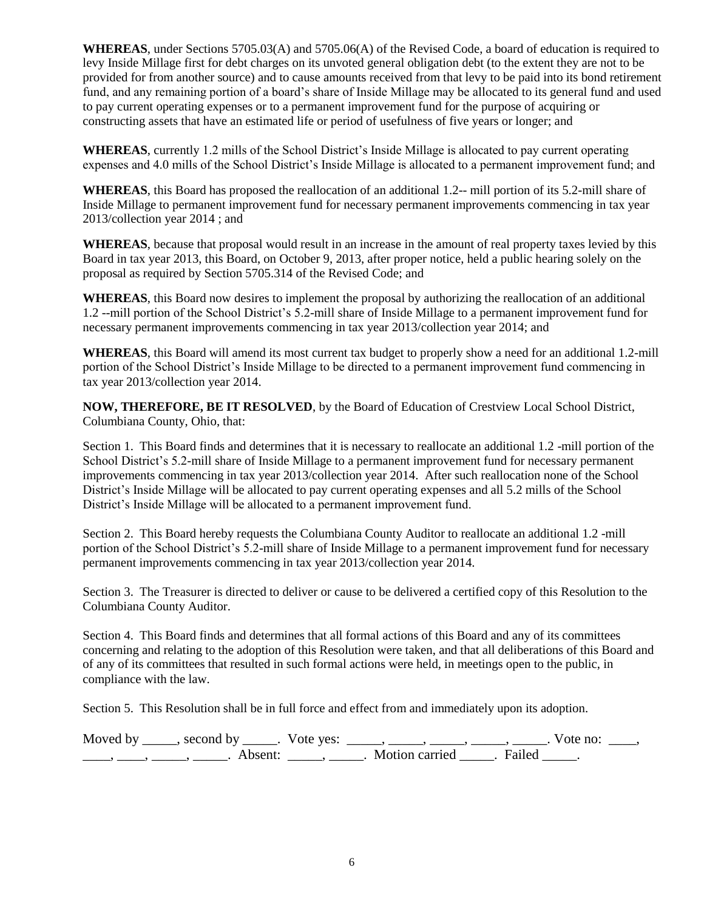**WHEREAS**, under Sections 5705.03(A) and 5705.06(A) of the Revised Code, a board of education is required to levy Inside Millage first for debt charges on its unvoted general obligation debt (to the extent they are not to be provided for from another source) and to cause amounts received from that levy to be paid into its bond retirement fund, and any remaining portion of a board's share of Inside Millage may be allocated to its general fund and used to pay current operating expenses or to a permanent improvement fund for the purpose of acquiring or constructing assets that have an estimated life or period of usefulness of five years or longer; and

**WHEREAS**, currently 1.2 mills of the School District's Inside Millage is allocated to pay current operating expenses and 4.0 mills of the School District's Inside Millage is allocated to a permanent improvement fund; and

**WHEREAS**, this Board has proposed the reallocation of an additional 1.2-- mill portion of its 5.2-mill share of Inside Millage to permanent improvement fund for necessary permanent improvements commencing in tax year 2013/collection year 2014 ; and

**WHEREAS**, because that proposal would result in an increase in the amount of real property taxes levied by this Board in tax year 2013, this Board, on October 9, 2013, after proper notice, held a public hearing solely on the proposal as required by Section 5705.314 of the Revised Code; and

**WHEREAS**, this Board now desires to implement the proposal by authorizing the reallocation of an additional 1.2 --mill portion of the School District's 5.2-mill share of Inside Millage to a permanent improvement fund for necessary permanent improvements commencing in tax year 2013/collection year 2014; and

**WHEREAS**, this Board will amend its most current tax budget to properly show a need for an additional 1.2-mill portion of the School District's Inside Millage to be directed to a permanent improvement fund commencing in tax year 2013/collection year 2014.

**NOW, THEREFORE, BE IT RESOLVED**, by the Board of Education of Crestview Local School District, Columbiana County, Ohio, that:

Section 1. This Board finds and determines that it is necessary to reallocate an additional 1.2 -mill portion of the School District's 5.2-mill share of Inside Millage to a permanent improvement fund for necessary permanent improvements commencing in tax year 2013/collection year 2014. After such reallocation none of the School District's Inside Millage will be allocated to pay current operating expenses and all 5.2 mills of the School District's Inside Millage will be allocated to a permanent improvement fund.

Section 2. This Board hereby requests the Columbiana County Auditor to reallocate an additional 1.2 -mill portion of the School District's 5.2-mill share of Inside Millage to a permanent improvement fund for necessary permanent improvements commencing in tax year 2013/collection year 2014.

Section 3. The Treasurer is directed to deliver or cause to be delivered a certified copy of this Resolution to the Columbiana County Auditor.

Section 4. This Board finds and determines that all formal actions of this Board and any of its committees concerning and relating to the adoption of this Resolution were taken, and that all deliberations of this Board and of any of its committees that resulted in such formal actions were held, in meetings open to the public, in compliance with the law.

Section 5. This Resolution shall be in full force and effect from and immediately upon its adoption.

| Moved by second by  | Vote yes: |                |        | vote no: |  |
|---------------------|-----------|----------------|--------|----------|--|
| Absent <sup>.</sup> |           | Motion carried | Failed |          |  |